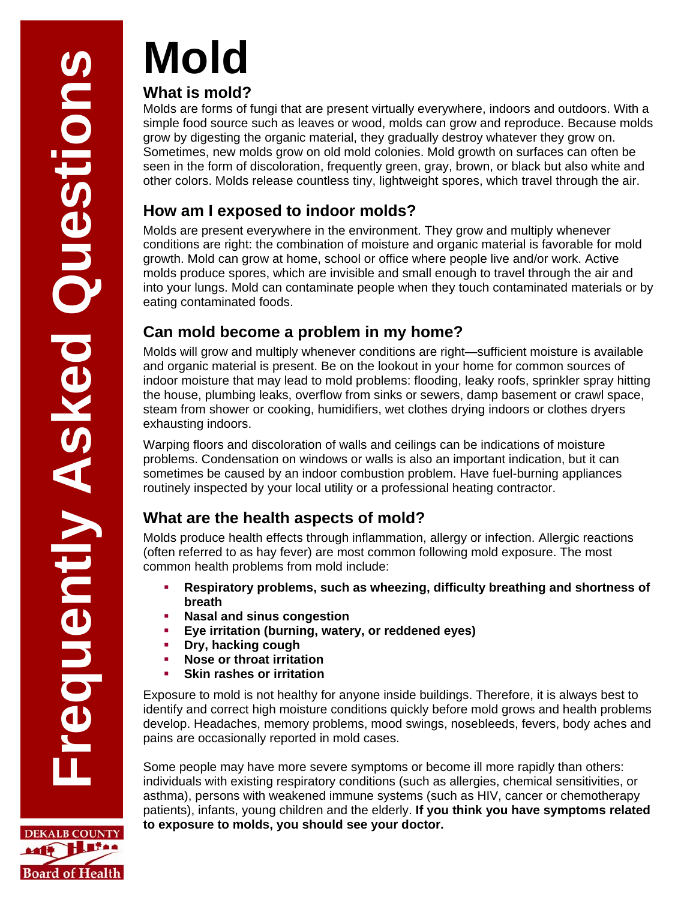**DEKALB COUNTY** MIT HITAA

**Board of Health** 

# **Mold**

#### **What is mold?**

Molds are forms of fungi that are present virtually everywhere, indoors and outdoors. With a simple food source such as leaves or wood, molds can grow and reproduce. Because molds grow by digesting the organic material, they gradually destroy whatever they grow on. Sometimes, new molds grow on old mold colonies. Mold growth on surfaces can often be seen in the form of discoloration, frequently green, gray, brown, or black but also white and other colors. Molds release countless tiny, lightweight spores, which travel through the air.

## **How am I exposed to indoor molds?**

Molds are present everywhere in the environment. They grow and multiply whenever conditions are right: the combination of moisture and organic material is favorable for mold growth. Mold can grow at home, school or office where people live and/or work. Active molds produce spores, which are invisible and small enough to travel through the air and into your lungs. Mold can contaminate people when they touch contaminated materials or by eating contaminated foods.

# **Can mold become a problem in my home?**

Molds will grow and multiply whenever conditions are right—sufficient moisture is available and organic material is present. Be on the lookout in your home for common sources of indoor moisture that may lead to mold problems: flooding, leaky roofs, sprinkler spray hitting the house, plumbing leaks, overflow from sinks or sewers, damp basement or crawl space, steam from shower or cooking, humidifiers, wet clothes drying indoors or clothes dryers exhausting indoors.

Warping floors and discoloration of walls and ceilings can be indications of moisture problems. Condensation on windows or walls is also an important indication, but it can sometimes be caused by an indoor combustion problem. Have fuel-burning appliances routinely inspected by your local utility or a professional heating contractor.

## **What are the health aspects of mold?**

Molds produce health effects through inflammation, allergy or infection. Allergic reactions (often referred to as hay fever) are most common following mold exposure. The most common health problems from mold include:

- **Respiratory problems, such as wheezing, difficulty breathing and shortness of breath**
- **Nasal and sinus congestion**
- **Eye irritation (burning, watery, or reddened eyes)**
- **Dry, hacking cough**
- **Nose or throat irritation**
- **Skin rashes or irritation**

Exposure to mold is not healthy for anyone inside buildings. Therefore, it is always best to identify and correct high moisture conditions quickly before mold grows and health problems develop. Headaches, memory problems, mood swings, nosebleeds, fevers, body aches and pains are occasionally reported in mold cases.

Some people may have more severe symptoms or become ill more rapidly than others: individuals with existing respiratory conditions (such as allergies, chemical sensitivities, or asthma), persons with weakened immune systems (such as HIV, cancer or chemotherapy patients), infants, young children and the elderly. **If you think you have symptoms related to exposure to molds, you should see your doctor.**